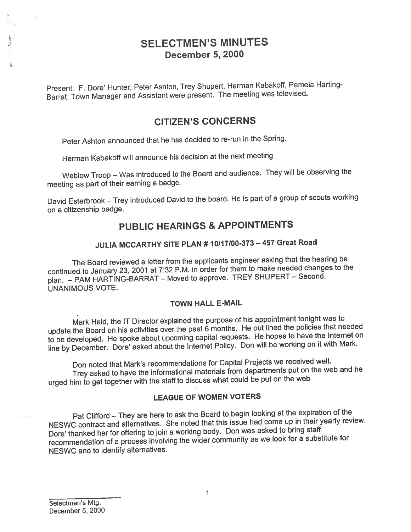# SELECTMEN'S MINUTES December 5, 2000

Present: F. Dote' Hunter, Peter Ashton, Trey Shupert, Herman Kabakoff, Pamela Harting Barrat, Town Manager and Assistant were present. The meeting was televised.

## CITIZEN'S CONCERNS

Peter Ashton announced that he has decided to re-run in the Spring.

Herman Kabakoff will announce his decision at the next meeting

Weblow Troop — Was introduced to the Board and audience. They will be observing the meeting as par<sup>t</sup> of their earning <sup>a</sup> badge.

David Esterbrook — Trey introduced David to the board. He is par<sup>t</sup> of <sup>a</sup> group of scouts working on <sup>a</sup> citizenship badge.

## PUBLIC HEARINGS & APPOINTMENTS

# JULIA MCCARTHY SITE PLAN #10117100-373—457 Great Road

The Board reviewed <sup>a</sup> letter from the applicants engineer asking that the hearing be continued to January 23, <sup>2001</sup> at 7:32 P.M. in order for them to make needed changes to the <sup>p</sup>lan. — PAM HARTING-BARRAT — Moved to approve. TREY SHUPERT — Second. UNANIMOUS VOTE.

#### TOWN HALL E-MAIL

Mark Hald, the IT Director explained the purpose of his appointment tonight was to update the Board on his activities over the past 6 months. He out lined the policies that needed to be developed. He spoke about upcoming capital requests. He hopes to have the Internet on line by December. Dore' asked about the Internet Policy. Don will be working on it with Mark.

Don noted that Mark's recommendations for Capital Projects we received well. Trey asked to have the informational materials from departments pu<sup>t</sup> on the web and he urge<sup>d</sup> him to ge<sup>t</sup> together with the staff to discuss what could be pu<sup>t</sup> on the web

#### LEAGUE OF WOMEN VOTERS

Pat Clifford — They are here to ask the Board to begin looking at the expiration of the NESWC contract and alternatives. She noted that this issue had come up in their yearly review. Dore' thanked her for offering to join <sup>a</sup> working body. Don was asked to bring staff recommendation of <sup>a</sup> process involving the wider community as we look for <sup>a</sup> substitute for NESWC and to identify alternatives.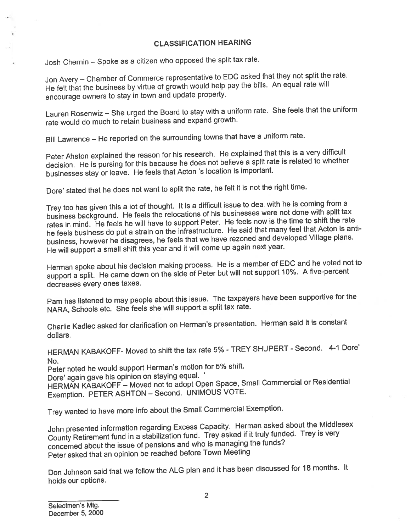### CLASSIFICATION HEARING

Josh Chernin — Spoke as <sup>a</sup> citizen who oppose<sup>d</sup> the split tax rate.

Jon Avery — Chamber of Commerce representative to EDC asked that they not split the rate. He felt that the business by virtue of growth would help pay the bills. An equa<sup>l</sup> rate will encourage owners to stay in town and update property.

Lauren Rosenwiz — She urge<sup>d</sup> the Board to stay with <sup>a</sup> uniform rate. She feels that the uniform rate would do much to retain business and expan<sup>d</sup> growth.

Bill Lawrence — He reported on the surrounding towns that have <sup>a</sup> uniform rate.

Peter Ahston explained the reason for his research. He explained that this is <sup>a</sup> very difficult decision. He is pursing for this because he does not believe <sup>a</sup> split tate is related to whether businesses stay or leave. He feels that Acton 's location is important.

Dore' stated that he does not want to split the rate, he felt it is not the right time.

Trey too has <sup>g</sup>iven this <sup>a</sup> lot of thought. It is <sup>a</sup> difficult issue to deal with he is coming from <sup>a</sup> business background. He feels the relocations of his businesses were not done with split tax rates in mind. He feels he will have to suppor<sup>t</sup> Peter. He feels now is the time to shift the rate he feels business do pu<sup>t</sup> <sup>a</sup> strain on the infrastructure. He said that many feel that Acton is antibusiness, however he disagrees, he feels that we have rezoned and developed Village <sup>p</sup>lans. He will suppor<sup>t</sup> <sup>a</sup> small shift this year and it will come up again next year.

Herman spoke about his decision making process. He is <sup>a</sup> member of EDC and he voted not to suppor<sup>t</sup> <sup>a</sup> split. He came down on the side of Peter but will not suppor<sup>t</sup> 10%. <sup>A</sup> five-percent decreases every ones taxes.

Pam has listened to may people about this issue. The taxpayers have been supportive for the NARA, Schools etc. She feels she will suppor<sup>t</sup> <sup>a</sup> split tax rate.

Charlie Kadlec asked for clarification on Herman's presentation. Herman said it is constant dollars.

HERMAN KABAKOFF- Moved to shift the tax rate 5% - TREY SHUPERT - Second. 4-1 Dore' No.

Peter noted he would suppor<sup>t</sup> Herman's motion for 5% shift.

Dore' again gave his opinion on staying equal. '

HERMAN KABAKOFF — Moved not to adopt Open Space, Small Commercial or Residential Exemption. PETER ASHTON — Second. UNIMOUS VOTE.

Trey wanted to have more info about the Small Commercial Exemption.

John presented information regarding Excess Capacity. Herman asked about the Middlesex County Retirement fund in <sup>a</sup> stabilization fund. Trey asked if it truly funded. Trey is very concerned about the issue of pensions and who is managing the funds? Peter asked that an opinion be reached before Town Meeting

Don Johnson said that we follow the ALG <sup>p</sup>lan and it has been discussed for <sup>18</sup> months. It holds our options.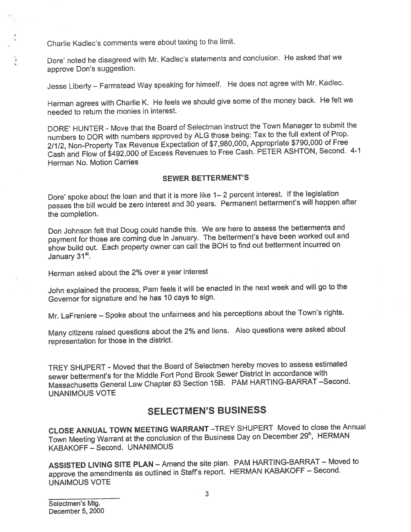Charlie Kadlec's comments were about taxing to the limit.

Dore' noted he disagreed with Mr. Kadlec's statements and conclusion. He asked that we approve Don's suggestion.

Jesse Liberty — Farmstead Way speaking for himself. He does not agree with Mr. Kadlec.

Herman agrees with Charlie K. He feels we should <sup>g</sup>ive some of the money back. He felt we needed to return the monies in interest.

DORE' HUNTER - Move that the Board of Selectman instruct the Town Manager to submit the numbers to DOR with numbers approve<sup>d</sup> by ALG those being: Tax to the full extent of Prop. 2/1/2, Non-Property Tax Revenue Expectation of \$7,980,000, Appropriate \$790,000 of Free Cash and Flow of \$492,000 of Excess Revenues to Free Cash. PETER ASHTON, Second. 4-1 Herman No. Motion Carries

#### SEWER BETTERMENT'S

Dote' spoke about the loan and that it is more like 1— <sup>2</sup> percen<sup>t</sup> interest. If the legislation passes the bill would be zero interest and <sup>30</sup> years. Permanent betterment's will happen after the completion.

Don Johnson felt that Doug could handle this. We are here to assess the betterments and paymen<sup>t</sup> for those are coming due in January. The betterment's have been worked out and show build out. Each property owner can call the BOH to find out betterment incurred on January 31<sup>st</sup>.

Herman asked about the 2% over <sup>a</sup> year interest

John explained the process, Pam feels it will be enacted in the next week and will go to the Governor for signature and he has <sup>10</sup> days to sign.

Mr. LaFreniere — Spoke about the unfairness and his perceptions about the Town's rights.

Many citizens raised questions about the 2% and liens. Also questions were asked about representation for those in the district.

TREY SHUPERT - Moved that the Board of Selectmen hereby moves to assess estimated sewer betterment's for the Middle Fort Pond Brook Sewer District in accordance with Massachusetts General Law Chapter <sup>83</sup> Section 15B. PAM HARTING-BARRAT —Second. UNANIMOUS VOTE

## SELECTMEN'S BUSINESS

CLOSE ANNUAL TOWN MEETING WARRANT —TREY SHUPERT Moved to close the Annual Town Meeting Warrant at the conclusion of the Business Day on December 29<sup>h</sup>, HERMAN KABAKOFF — Second. UNANIMOUS

ASSISTED LIVING SITE PLAN — Amend the site <sup>p</sup>lan. PAM HARTING-BARRAT — Moved to approve the amendments as outlined in Staff's report. HERMAN KABAKOFF — Second. UNAIMOUS VOTE